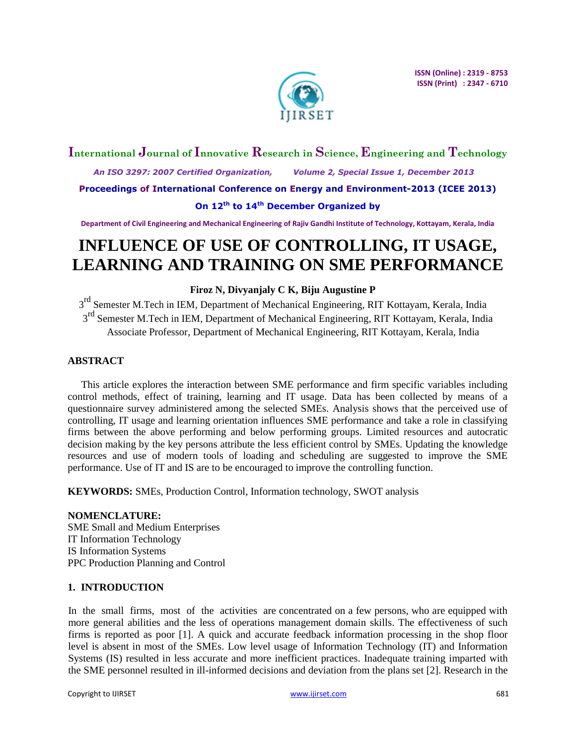

# **International Journal of Innovative Research in Science, Engineering and Technology**

 *An ISO 3297: 2007 Certified Organization, Volume 2, Special Issue 1, December 2013*

**Proceedings of International Conference on Energy and Environment-2013 (ICEE 2013)**

# **On 12th to 14th December Organized by**

**Department of Civil Engineering and Mechanical Engineering of Rajiv Gandhi Institute of Technology, Kottayam, Kerala, India**

# **INFLUENCE OF USE OF CONTROLLING, IT USAGE, LEARNING AND TRAINING ON SME PERFORMANCE**

# **Firoz N, Divyanjaly C K, Biju Augustine P**

3<sup>rd</sup> Semester M.Tech in IEM, Department of Mechanical Engineering, RIT Kottayam, Kerala, India 3<sup>rd</sup> Semester M.Tech in IEM, Department of Mechanical Engineering, RIT Kottayam, Kerala, India Associate Professor, Department of Mechanical Engineering, RIT Kottayam, Kerala, India

# **ABSTRACT**

This article explores the interaction between SME performance and firm specific variables including control methods, effect of training, learning and IT usage. Data has been collected by means of a questionnaire survey administered among the selected SMEs. Analysis shows that the perceived use of controlling, IT usage and learning orientation influences SME performance and take a role in classifying firms between the above performing and below performing groups. Limited resources and autocratic decision making by the key persons attribute the less efficient control by SMEs. Updating the knowledge resources and use of modern tools of loading and scheduling are suggested to improve the SME performance. Use of IT and IS are to be encouraged to improve the controlling function.

**KEYWORDS:** SMEs, Production Control, Information technology, SWOT analysis

**NOMENCLATURE:** SME Small and Medium Enterprises IT Information Technology IS Information Systems PPC Production Planning and Control

# **1. INTRODUCTION**

In the small firms, most of the activities are concentrated on a few persons, who are equipped with more general abilities and the less of operations management domain skills. The effectiveness of such firms is reported as poor [1]. A quick and accurate feedback information processing in the shop floor level is absent in most of the SMEs. Low level usage of Information Technology (IT) and Information Systems (IS) resulted in less accurate and more inefficient practices. Inadequate training imparted with the SME personnel resulted in ill-informed decisions and deviation from the plans set [2]. Research in the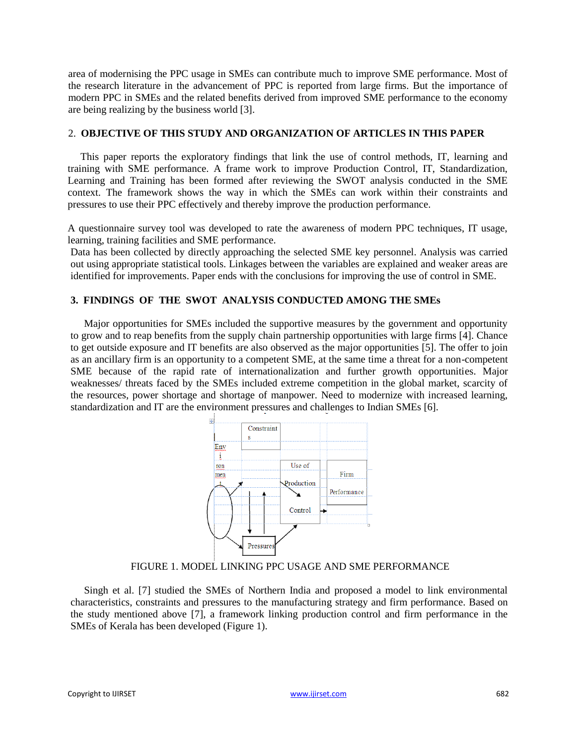area of modernising the PPC usage in SMEs can contribute much to improve SME performance. Most of the research literature in the advancement of PPC is reported from large firms. But the importance of modern PPC in SMEs and the related benefits derived from improved SME performance to the economy are being realizing by the business world [3].

### 2. **OBJECTIVE OF THIS STUDY AND ORGANIZATION OF ARTICLES IN THIS PAPER**

This paper reports the exploratory findings that link the use of control methods, IT, learning and training with SME performance. A frame work to improve Production Control, IT, Standardization, Learning and Training has been formed after reviewing the SWOT analysis conducted in the SME context. The framework shows the way in which the SMEs can work within their constraints and pressures to use their PPC effectively and thereby improve the production performance.

A questionnaire survey tool was developed to rate the awareness of modern PPC techniques, IT usage, learning, training facilities and SME performance.

Data has been collected by directly approaching the selected SME key personnel. Analysis was carried out using appropriate statistical tools. Linkages between the variables are explained and weaker areas are identified for improvements. Paper ends with the conclusions for improving the use of control in SME.

# **3. FINDINGS OF THE SWOT ANALYSIS CONDUCTED AMONG THE SMEs**

Major opportunities for SMEs included the supportive measures by the government and opportunity to grow and to reap benefits from the supply chain partnership opportunities with large firms [4]. Chance to get outside exposure and IT benefits are also observed as the major opportunities [5]. The offer to join as an ancillary firm is an opportunity to a competent SME, at the same time a threat for a non-competent SME because of the rapid rate of internationalization and further growth opportunities. Major weaknesses/ threats faced by the SMEs included extreme competition in the global market, scarcity of the resources, power shortage and shortage of manpower. Need to modernize with increased learning, standardization and IT are the environment pressures and challenges to Indian SMEs [6].



FIGURE 1. MODEL LINKING PPC USAGE AND SME PERFORMANCE

Singh et al. [7] studied the SMEs of Northern India and proposed a model to link environmental characteristics, constraints and pressures to the manufacturing strategy and firm performance. Based on the study mentioned above [7], a framework linking production control and firm performance in the SMEs of Kerala has been developed (Figure 1).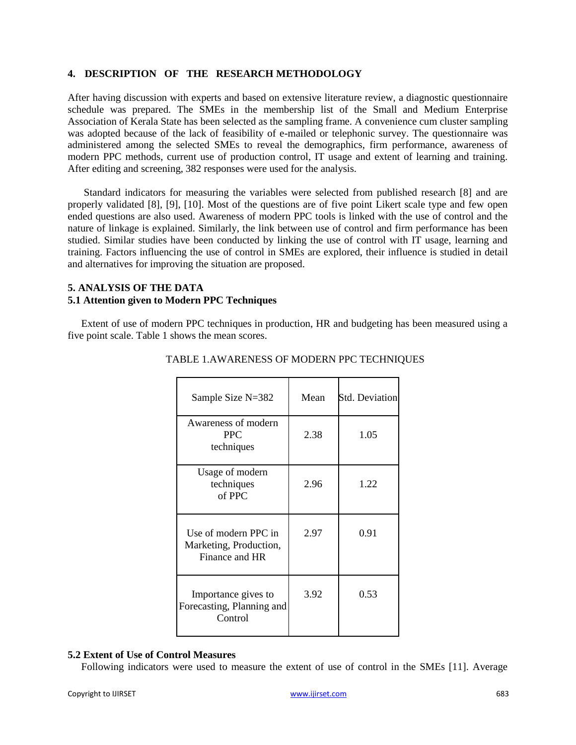### **4. DESCRIPTION OF THE RESEARCH METHODOLOGY**

After having discussion with experts and based on extensive literature review, a diagnostic questionnaire schedule was prepared. The SMEs in the membership list of the Small and Medium Enterprise Association of Kerala State has been selected as the sampling frame. A convenience cum cluster sampling was adopted because of the lack of feasibility of e-mailed or telephonic survey. The questionnaire was administered among the selected SMEs to reveal the demographics, firm performance, awareness of modern PPC methods, current use of production control, IT usage and extent of learning and training. After editing and screening, 382 responses were used for the analysis.

Standard indicators for measuring the variables were selected from published research [8] and are properly validated [8], [9], [10]. Most of the questions are of five point Likert scale type and few open ended questions are also used. Awareness of modern PPC tools is linked with the use of control and the nature of linkage is explained. Similarly, the link between use of control and firm performance has been studied. Similar studies have been conducted by linking the use of control with IT usage, learning and training. Factors influencing the use of control in SMEs are explored, their influence is studied in detail and alternatives for improving the situation are proposed.

## **5. ANALYSIS OF THE DATA 5.1 Attention given to Modern PPC Techniques**

Extent of use of modern PPC techniques in production, HR and budgeting has been measured using a five point scale. Table 1 shows the mean scores.

| Sample Size N=382                                                | Mean | <b>Std. Deviation</b> |
|------------------------------------------------------------------|------|-----------------------|
| Awareness of modern<br><b>PPC</b><br>techniques                  | 2.38 | 1.05                  |
| Usage of modern<br>techniques<br>of PPC                          | 2.96 | 1.22                  |
| Use of modern PPC in<br>Marketing, Production,<br>Finance and HR | 2.97 | 0.91                  |
| Importance gives to<br>Forecasting, Planning and<br>Control      | 3.92 | 0.53                  |

# TABLE 1.AWARENESS OF MODERN PPC TECHNIQUES

#### **5.2 Extent of Use of Control Measures**

Following indicators were used to measure the extent of use of control in the SMEs [11]. Average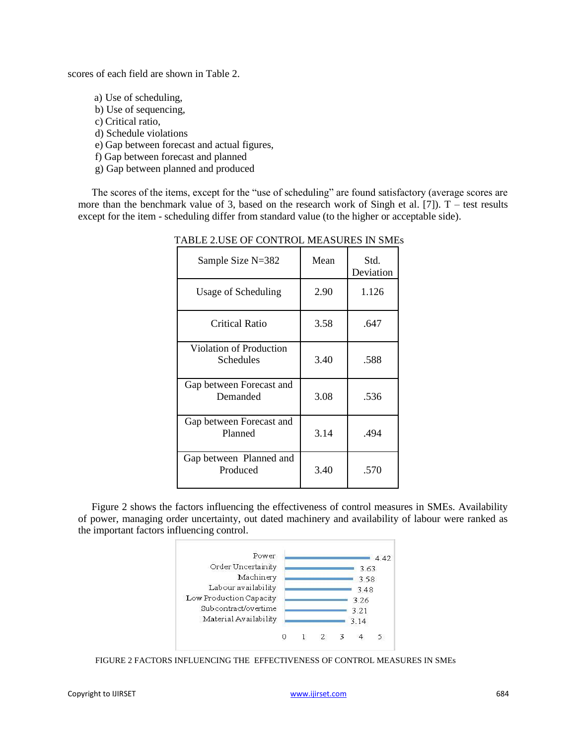scores of each field are shown in Table 2.

- a) Use of scheduling,
- b) Use of sequencing,
- c) Critical ratio,
- d) Schedule violations
- e) Gap between forecast and actual figures,
- f) Gap between forecast and planned
- g) Gap between planned and produced

The scores of the items, except for the "use of scheduling" are found satisfactory (average scores are more than the benchmark value of 3, based on the research work of Singh et al. [7]).  $T$  – test results except for the item - scheduling differ from standard value (to the higher or acceptable side).

| Sample Size $N=382$                         | Mean | Std.<br>Deviation |
|---------------------------------------------|------|-------------------|
| Usage of Scheduling                         | 2.90 | 1.126             |
| Critical Ratio                              | 3.58 | .647              |
| Violation of Production<br><b>Schedules</b> | 3.40 | .588              |
| Gap between Forecast and<br>Demanded        | 3.08 | .536              |
| Gap between Forecast and<br>Planned         | 3.14 | .494              |
| Gap between Planned and<br>Produced         | 3.40 | .570              |

#### TABLE 2.USE OF CONTROL MEASURES IN SMEs

Figure 2 shows the factors influencing the effectiveness of control measures in SMEs. Availability of power, managing order uncertainty, out dated machinery and availability of labour were ranked as the important factors influencing control.



FIGURE 2 FACTORS INFLUENCING THE EFFECTIVENESS OF CONTROL MEASURES IN SMEs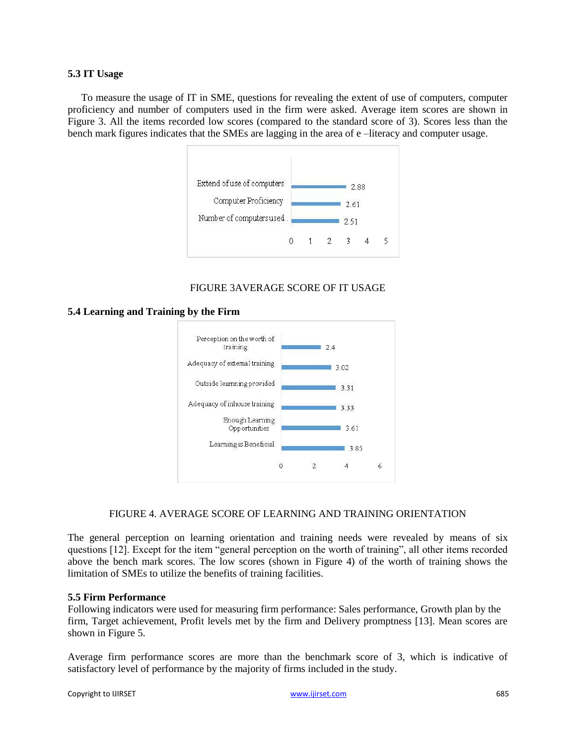#### **5.3 IT Usage**

To measure the usage of IT in SME, questions for revealing the extent of use of computers, computer proficiency and number of computers used in the firm were asked. Average item scores are shown in Figure 3. All the items recorded low scores (compared to the standard score of 3). Scores less than the bench mark figures indicates that the SMEs are lagging in the area of e –literacy and computer usage.



# FIGURE 3AVERAGE SCORE OF IT USAGE

**5.4 Learning and Training by the Firm**



# FIGURE 4. AVERAGE SCORE OF LEARNING AND TRAINING ORIENTATION

The general perception on learning orientation and training needs were revealed by means of six questions [12]. Except for the item "general perception on the worth of training", all other items recorded above the bench mark scores. The low scores (shown in Figure 4) of the worth of training shows the limitation of SMEs to utilize the benefits of training facilities.

# **5.5 Firm Performance**

Following indicators were used for measuring firm performance: Sales performance, Growth plan by the firm, Target achievement, Profit levels met by the firm and Delivery promptness [13]. Mean scores are shown in Figure 5.

Average firm performance scores are more than the benchmark score of 3, which is indicative of satisfactory level of performance by the majority of firms included in the study.

```
Copyright to IJIRSET www.ijirset.com 685
```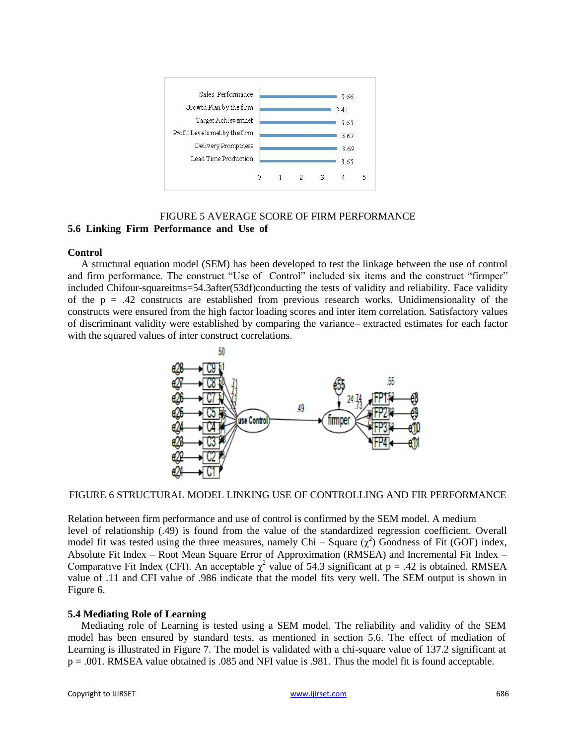

# FIGURE 5 AVERAGE SCORE OF FIRM PERFORMANCE **5.6 Linking Firm Performance and Use of**

### **Control**

A structural equation model (SEM) has been developed to test the linkage between the use of control and firm performance. The construct "Use of Control" included six items and the construct "firmper" included Chifour-squareitms=54.3after(53df)conducting the tests of validity and reliability. Face validity of the  $p = .42$  constructs are established from previous research works. Unidimensionality of the constructs were ensured from the high factor loading scores and inter item correlation. Satisfactory values of discriminant validity were established by comparing the variance– extracted estimates for each factor with the squared values of inter construct correlations.



FIGURE 6 STRUCTURAL MODEL LINKING USE OF CONTROLLING AND FIR PERFORMANCE

Relation between firm performance and use of control is confirmed by the SEM model. A medium level of relationship (.49) is found from the value of the standardized regression coefficient. Overall model fit was tested using the three measures, namely Chi – Square  $(\chi^2)$  Goodness of Fit (GOF) index, Absolute Fit Index – Root Mean Square Error of Approximation (RMSEA) and Incremental Fit Index – Comparative Fit Index (CFI). An acceptable  $\chi^2$  value of 54.3 significant at p = .42 is obtained. RMSEA value of .11 and CFI value of .986 indicate that the model fits very well. The SEM output is shown in Figure 6.

# **5.4 Mediating Role of Learning**

Mediating role of Learning is tested using a SEM model. The reliability and validity of the SEM model has been ensured by standard tests, as mentioned in section 5.6. The effect of mediation of Learning is illustrated in Figure 7. The model is validated with a chi-square value of 137.2 significant at p = .001. RMSEA value obtained is .085 and NFI value is .981. Thus the model fit is found acceptable.